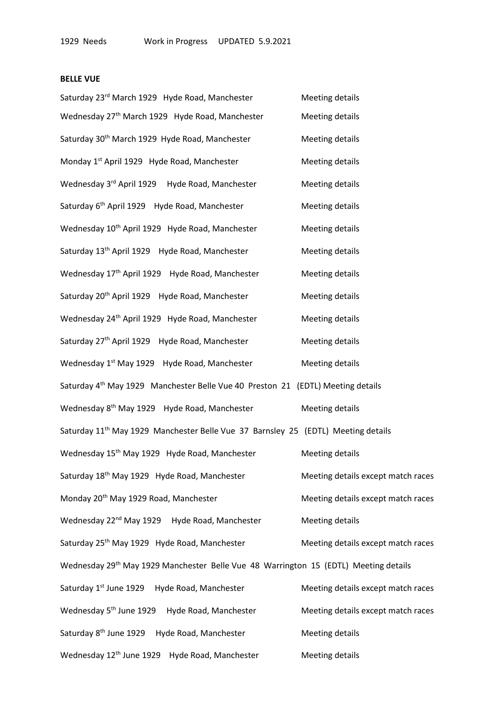## **BELLE VUE**

| Saturday 23rd March 1929 Hyde Road, Manchester                                                | <b>Meeting details</b>             |
|-----------------------------------------------------------------------------------------------|------------------------------------|
| Wednesday 27 <sup>th</sup> March 1929 Hyde Road, Manchester                                   | <b>Meeting details</b>             |
| Saturday 30 <sup>th</sup> March 1929 Hyde Road, Manchester                                    | <b>Meeting details</b>             |
| Monday 1 <sup>st</sup> April 1929 Hyde Road, Manchester                                       | <b>Meeting details</b>             |
| Wednesday 3rd April 1929 Hyde Road, Manchester                                                | <b>Meeting details</b>             |
| Saturday 6 <sup>th</sup> April 1929 Hyde Road, Manchester                                     | <b>Meeting details</b>             |
| Wednesday 10 <sup>th</sup> April 1929 Hyde Road, Manchester                                   | <b>Meeting details</b>             |
| Saturday 13 <sup>th</sup> April 1929 Hyde Road, Manchester                                    | <b>Meeting details</b>             |
| Wednesday 17 <sup>th</sup> April 1929 Hyde Road, Manchester                                   | <b>Meeting details</b>             |
| Saturday 20 <sup>th</sup> April 1929 Hyde Road, Manchester                                    | <b>Meeting details</b>             |
| Wednesday 24 <sup>th</sup> April 1929 Hyde Road, Manchester                                   | <b>Meeting details</b>             |
| Saturday 27 <sup>th</sup> April 1929 Hyde Road, Manchester                                    | <b>Meeting details</b>             |
| Wednesday 1 <sup>st</sup> May 1929 Hyde Road, Manchester                                      | <b>Meeting details</b>             |
| Saturday 4 <sup>th</sup> May 1929 Manchester Belle Vue 40 Preston 21 (EDTL) Meeting details   |                                    |
| Wednesday 8 <sup>th</sup> May 1929 Hyde Road, Manchester                                      | <b>Meeting details</b>             |
| Saturday 11 <sup>th</sup> May 1929 Manchester Belle Vue 37 Barnsley 25 (EDTL) Meeting details |                                    |
| Wednesday 15 <sup>th</sup> May 1929 Hyde Road, Manchester                                     | <b>Meeting details</b>             |
| Saturday 18 <sup>th</sup> May 1929 Hyde Road, Manchester                                      | Meeting details except match races |
| Monday 20 <sup>th</sup> May 1929 Road, Manchester                                             | Meeting details except match races |
| Wednesday 22 <sup>nd</sup> May 1929 Hyde Road, Manchester                                     | <b>Meeting details</b>             |
| Saturday 25 <sup>th</sup> May 1929 Hyde Road, Manchester                                      | Meeting details except match races |
| Wednesday 29th May 1929 Manchester Belle Vue 48 Warrington 15 (EDTL) Meeting details          |                                    |
| Saturday 1st June 1929<br>Hyde Road, Manchester                                               | Meeting details except match races |
| Wednesday 5 <sup>th</sup> June 1929<br>Hyde Road, Manchester                                  | Meeting details except match races |
| Saturday 8 <sup>th</sup> June 1929<br>Hyde Road, Manchester                                   | <b>Meeting details</b>             |
| Wednesday 12 <sup>th</sup> June 1929<br>Hyde Road, Manchester                                 | <b>Meeting details</b>             |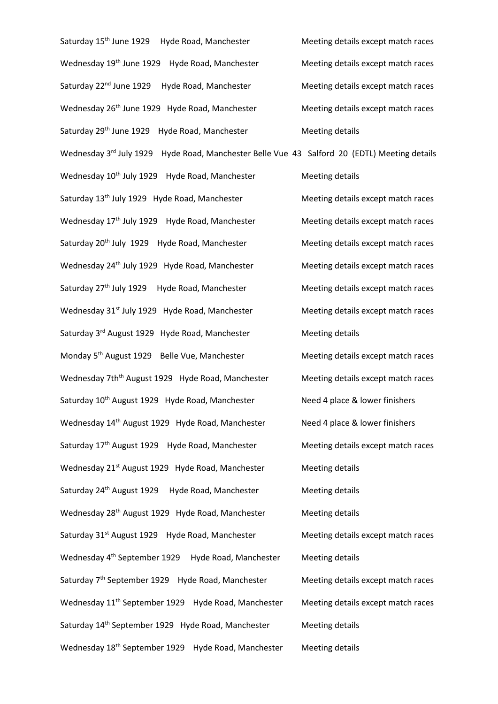Saturday 15<sup>th</sup> June 1929 Hyde Road, Manchester Meeting details except match races Wednesday 19<sup>th</sup> June 1929 Hyde Road, Manchester Meeting details except match races Saturday 22<sup>nd</sup> June 1929 Hyde Road, Manchester Meeting details except match races Wednesday 26<sup>th</sup> June 1929 Hyde Road, Manchester Meeting details except match races Saturday 29<sup>th</sup> June 1929 Hyde Road, Manchester Meeting details Wednesday 3<sup>rd</sup> July 1929 Hyde Road, Manchester Belle Vue 43 Salford 20 (EDTL) Meeting details Wednesday 10<sup>th</sup> July 1929 Hyde Road, Manchester Meeting details Saturday 13<sup>th</sup> July 1929 Hyde Road, Manchester Meeting details except match races Wednesday 17<sup>th</sup> July 1929 Hyde Road, Manchester Meeting details except match races Saturday 20<sup>th</sup> July 1929 Hyde Road, Manchester Meeting details except match races Wednesday 24<sup>th</sup> July 1929 Hyde Road, Manchester Meeting details except match races Saturday 27<sup>th</sup> July 1929 Hyde Road, Manchester Meeting details except match races Wednesday 31<sup>st</sup> July 1929 Hyde Road, Manchester Meeting details except match races Saturday 3<sup>rd</sup> August 1929 Hyde Road, Manchester Meeting details Monday 5<sup>th</sup> August 1929 Belle Vue, Manchester Meeting details except match races Wednesday 7th<sup>th</sup> August 1929 Hyde Road, Manchester Meeting details except match races Saturday 10<sup>th</sup> August 1929 Hyde Road, Manchester Need 4 place & lower finishers Wednesday 14<sup>th</sup> August 1929 Hyde Road, Manchester Need 4 place & lower finishers Saturday 17<sup>th</sup> August 1929 Hyde Road, Manchester Meeting details except match races Wednesday 21<sup>st</sup> August 1929 Hyde Road, Manchester Meeting details Saturday 24<sup>th</sup> August 1929 Hyde Road, Manchester Meeting details Wednesday 28<sup>th</sup> August 1929 Hyde Road, Manchester Meeting details Saturday 31<sup>st</sup> August 1929 Hyde Road, Manchester Meeting details except match races Wednesday 4<sup>th</sup> September 1929 Hyde Road, Manchester Meeting details Saturday 7<sup>th</sup> September 1929 Hyde Road, Manchester Meeting details except match races Wednesday 11<sup>th</sup> September 1929 Hyde Road, Manchester Meeting details except match races Saturday 14<sup>th</sup> September 1929 Hyde Road, Manchester Meeting details Wednesday 18<sup>th</sup> September 1929 Hyde Road, Manchester Meeting details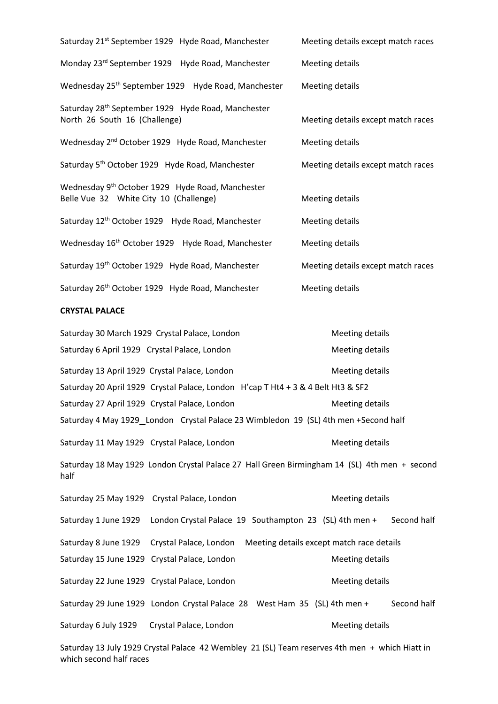| Saturday 21 <sup>st</sup> September 1929 Hyde Road, Manchester                                         | Meeting details except match races |  |  |
|--------------------------------------------------------------------------------------------------------|------------------------------------|--|--|
| Monday 23rd September 1929 Hyde Road, Manchester                                                       | Meeting details                    |  |  |
| Wednesday 25 <sup>th</sup> September 1929 Hyde Road, Manchester                                        | Meeting details                    |  |  |
| Saturday 28 <sup>th</sup> September 1929 Hyde Road, Manchester<br>North 26 South 16 (Challenge)        | Meeting details except match races |  |  |
| Wednesday 2 <sup>nd</sup> October 1929 Hyde Road, Manchester                                           | <b>Meeting details</b>             |  |  |
| Saturday 5 <sup>th</sup> October 1929 Hyde Road, Manchester                                            | Meeting details except match races |  |  |
| Wednesday 9 <sup>th</sup> October 1929 Hyde Road, Manchester<br>Belle Vue 32 White City 10 (Challenge) | Meeting details                    |  |  |
| Saturday 12 <sup>th</sup> October 1929 Hyde Road, Manchester                                           | Meeting details                    |  |  |
| Wednesday 16 <sup>th</sup> October 1929 Hyde Road, Manchester                                          | <b>Meeting details</b>             |  |  |
| Saturday 19th October 1929 Hyde Road, Manchester                                                       | Meeting details except match races |  |  |
| Saturday 26th October 1929 Hyde Road, Manchester                                                       | Meeting details                    |  |  |
| <b>CRYSTAL PALACE</b>                                                                                  |                                    |  |  |
| Saturday 30 March 1929 Crystal Palace, London                                                          | Meeting details                    |  |  |
| Saturday 6 April 1929 Crystal Palace, London                                                           | <b>Meeting details</b>             |  |  |

Saturday 13 April 1929 Crystal Palace, London Meeting details Saturday 20 April 1929 Crystal Palace, London H'cap T Ht4 + 3 & 4 Belt Ht3 & SF2 Saturday 27 April 1929 Crystal Palace, London Meeting details Saturday 4 May 1929 London Crystal Palace 23 Wimbledon 19 (SL) 4th men +Second half Saturday 11 May 1929 Crystal Palace, London Meeting details Saturday 18 May 1929 London Crystal Palace 27 Hall Green Birmingham 14 (SL) 4th men + second half Saturday 25 May 1929 Crystal Palace, London Meeting details Saturday 1 June 1929 London Crystal Palace 19 Southampton 23 (SL) 4th men + Second half Saturday 8 June 1929 Crystal Palace, London Meeting details except match race details Saturday 15 June 1929 Crystal Palace, London Meeting details Saturday 22 June 1929 Crystal Palace, London Meeting details Saturday 29 June 1929 London Crystal Palace 28 West Ham 35 (SL) 4th men + Second half Saturday 6 July 1929 Crystal Palace, London Meeting details

Saturday 13 July 1929 Crystal Palace 42 Wembley 21 (SL) Team reserves 4th men + which Hiatt in which second half races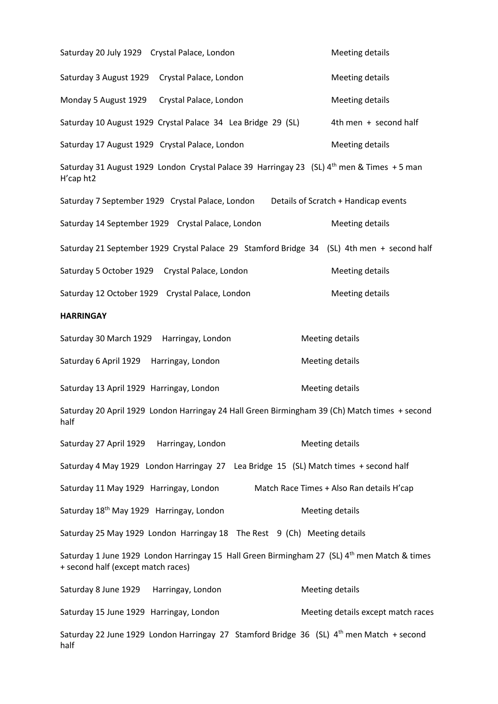Saturday 20 July 1929 Crystal Palace, London Meeting details Saturday 3 August 1929 Crystal Palace, London Meeting details Monday 5 August 1929 Crystal Palace, London Meeting details Saturday 10 August 1929 Crystal Palace 34 Lea Bridge 29 (SL) 4th men + second half Saturday 17 August 1929 Crystal Palace, London Meeting details Saturday 31 August 1929 London Crystal Palace 39 Harringay 23 (SL) 4<sup>th</sup> men & Times + 5 man H'cap ht2 Saturday 7 September 1929 Crystal Palace, London Details of Scratch + Handicap events Saturday 14 September 1929 Crystal Palace, London Meeting details Saturday 21 September 1929 Crystal Palace 29 Stamford Bridge 34 (SL) 4th men + second half Saturday 5 October 1929 Crystal Palace, London Meeting details Saturday 12 October 1929 Crystal Palace, London Meeting details **HARRINGAY** Saturday 30 March 1929 Harringay, London Meeting details Saturday 6 April 1929 Harringay, London Meeting details Saturday 13 April 1929 Harringay, London Meeting details Saturday 20 April 1929 London Harringay 24 Hall Green Birmingham 39 (Ch) Match times + second half Saturday 27 April 1929 Harringay, London Meeting details Saturday 4 May 1929 London Harringay 27 Lea Bridge 15 (SL) Match times + second half Saturday 11 May 1929 Harringay, London Match Race Times + Also Ran details H'cap Saturday 18<sup>th</sup> May 1929 Harringay, London Meeting details Saturday 25 May 1929 London Harringay 18 The Rest 9 (Ch) Meeting details Saturday 1 June 1929 London Harringay 15 Hall Green Birmingham 27 (SL) 4<sup>th</sup> men Match & times + second half (except match races) Saturday 8 June 1929 Harringay, London Meeting details Saturday 15 June 1929 Harringay, London Meeting details except match races Saturday 22 June 1929 London Harringay 27 Stamford Bridge 36 (SL) 4<sup>th</sup> men Match + second half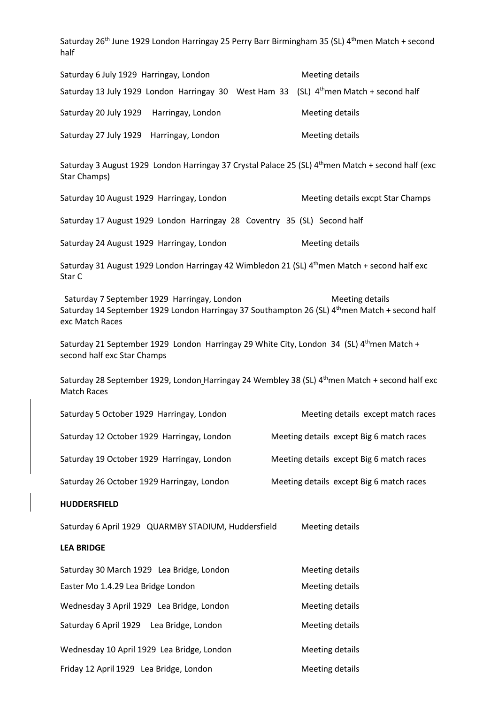Saturday 26<sup>th</sup> June 1929 London Harringay 25 Perry Barr Birmingham 35 (SL) 4<sup>th</sup>men Match + second half

| Saturday 6 July 1929 Harringay, London                                                                                                                           | <b>Meeting details</b>                   |
|------------------------------------------------------------------------------------------------------------------------------------------------------------------|------------------------------------------|
| Saturday 13 July 1929 London Harringay 30 West Ham 33 (SL) 4 <sup>th</sup> men Match + second half                                                               |                                          |
| Saturday 20 July 1929 Harringay, London                                                                                                                          | <b>Meeting details</b>                   |
| Saturday 27 July 1929 Harringay, London                                                                                                                          | <b>Meeting details</b>                   |
| Saturday 3 August 1929 London Harringay 37 Crystal Palace 25 (SL) 4 <sup>th</sup> men Match + second half (exc<br>Star Champs)                                   |                                          |
| Saturday 10 August 1929 Harringay, London                                                                                                                        | Meeting details excpt Star Champs        |
| Saturday 17 August 1929 London Harringay 28 Coventry 35 (SL) Second half                                                                                         |                                          |
| Saturday 24 August 1929 Harringay, London                                                                                                                        | <b>Meeting details</b>                   |
| Saturday 31 August 1929 London Harringay 42 Wimbledon 21 (SL) 4 <sup>th</sup> men Match + second half exc<br>Star C                                              |                                          |
| Saturday 7 September 1929 Harringay, London<br>Saturday 14 September 1929 London Harringay 37 Southampton 26 (SL) 4th men Match + second half<br>exc Match Races | <b>Meeting details</b>                   |
| Saturday 21 September 1929 London Harringay 29 White City, London 34 (SL) $4^{\text{th}}$ men Match +<br>second half exc Star Champs                             |                                          |
| Saturday 28 September 1929, London Harringay 24 Wembley 38 (SL) 4 <sup>th</sup> men Match + second half exc<br><b>Match Races</b>                                |                                          |
| Saturday 5 October 1929 Harringay, London                                                                                                                        | Meeting details except match races       |
| Saturday 12 October 1929 Harringay, London                                                                                                                       | Meeting details except Big 6 match races |
| Saturday 19 October 1929 Harringay, London                                                                                                                       | Meeting details except Big 6 match races |
| Saturday 26 October 1929 Harringay, London                                                                                                                       | Meeting details except Big 6 match races |
| <b>HUDDERSFIELD</b>                                                                                                                                              |                                          |
| Saturday 6 April 1929 QUARMBY STADIUM, Huddersfield                                                                                                              | <b>Meeting details</b>                   |
| <b>LEA BRIDGE</b>                                                                                                                                                |                                          |
| Saturday 30 March 1929 Lea Bridge, London                                                                                                                        | <b>Meeting details</b>                   |
| Easter Mo 1.4.29 Lea Bridge London                                                                                                                               | <b>Meeting details</b>                   |
| Wednesday 3 April 1929 Lea Bridge, London                                                                                                                        | <b>Meeting details</b>                   |
| Saturday 6 April 1929 Lea Bridge, London                                                                                                                         | <b>Meeting details</b>                   |

Wednesday 10 April 1929 Lea Bridge, London Meeting details Friday 12 April 1929 Lea Bridge, London Meeting details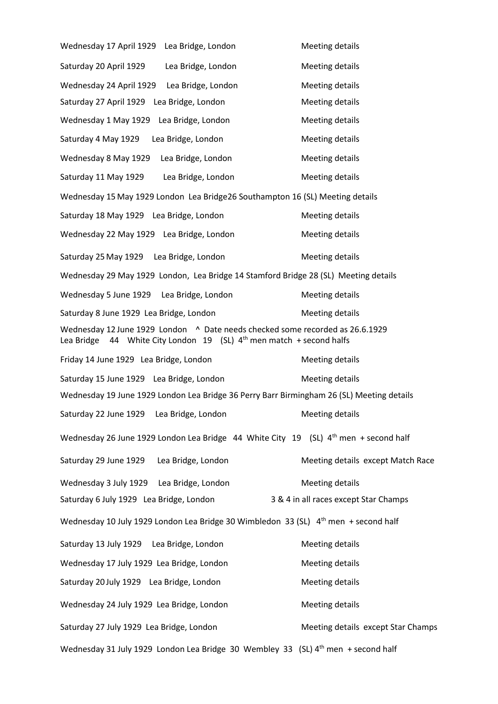Wednesday 17 April 1929 Lea Bridge, London Meeting details Saturday 20 April 1929 Lea Bridge, London Meeting details Wednesday 24 April 1929 Lea Bridge, London Meeting details Saturday 27 April 1929 Lea Bridge, London Meeting details Wednesday 1 May 1929 Lea Bridge, London Meeting details Saturday 4 May 1929 Lea Bridge, London Meeting details Wednesday 8 May 1929 Lea Bridge, London Meeting details Saturday 11 May 1929 Lea Bridge, London Meeting details Wednesday 15 May 1929 London Lea Bridge26 Southampton 16 (SL) Meeting details Saturday 18 May 1929 Lea Bridge, London Meeting details Wednesday 22 May 1929 Lea Bridge, London Meeting details Saturday 25 May 1929 Lea Bridge, London Meeting details Wednesday 29 May 1929 London, Lea Bridge 14 Stamford Bridge 28 (SL) Meeting details Wednesday 5 June 1929 Lea Bridge, London Meeting details Saturday 8 June 1929 Lea Bridge, London Meeting details Wednesday 12 June 1929 London ^ Date needs checked some recorded as 26.6.1929 Lea Bridge 44 White City London 19 (SL) 4<sup>th</sup> men match + second halfs Friday 14 June 1929 Lea Bridge, London Meeting details Saturday 15 June 1929 Lea Bridge, London Meeting details Wednesday 19 June 1929 London Lea Bridge 36 Perry Barr Birmingham 26 (SL) Meeting details Saturday 22 June 1929 Lea Bridge, London Meeting details Wednesday 26 June 1929 London Lea Bridge 44 White City 19 (SL) 4<sup>th</sup> men + second half Saturday 29 June 1929 Lea Bridge, London Meeting details except Match Race Wednesday 3 July 1929 Lea Bridge, London Meeting details Saturday 6 July 1929 Lea Bridge, London 3 & 4 in all races except Star Champs Wednesday 10 July 1929 London Lea Bridge 30 Wimbledon 33 (SL) 4<sup>th</sup> men + second half Saturday 13 July 1929 Lea Bridge, London Meeting details Wednesday 17 July 1929 Lea Bridge, London Meeting details Saturday 20 July 1929 Lea Bridge, London Meeting details Wednesday 24 July 1929 Lea Bridge, London Meeting details Saturday 27 July 1929 Lea Bridge, London Meeting details except Star Champs Wednesday 31 July 1929 London Lea Bridge 30 Wembley 33 (SL) 4<sup>th</sup> men + second half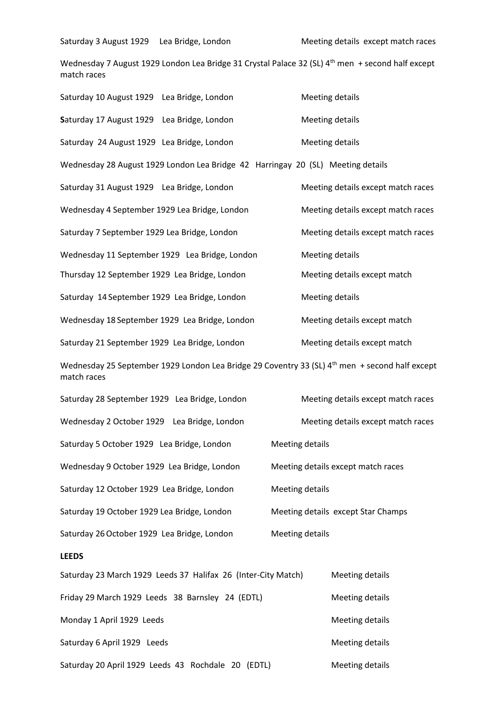Saturday 3 August 1929 Lea Bridge, London Meeting details except match races

Wednesday 7 August 1929 London Lea Bridge 31 Crystal Palace 32 (SL) 4<sup>th</sup> men + second half except match races

| Saturday 10 August 1929 Lea Bridge, London     |                                                                                 |                                    | Meeting details                                                                                            |  |  |
|------------------------------------------------|---------------------------------------------------------------------------------|------------------------------------|------------------------------------------------------------------------------------------------------------|--|--|
| Saturday 17 August 1929 Lea Bridge, London     |                                                                                 |                                    | Meeting details                                                                                            |  |  |
| Saturday 24 August 1929 Lea Bridge, London     |                                                                                 | <b>Meeting details</b>             |                                                                                                            |  |  |
|                                                | Wednesday 28 August 1929 London Lea Bridge 42 Harringay 20 (SL) Meeting details |                                    |                                                                                                            |  |  |
| Saturday 31 August 1929 Lea Bridge, London     |                                                                                 |                                    | Meeting details except match races                                                                         |  |  |
| Wednesday 4 September 1929 Lea Bridge, London  |                                                                                 |                                    | Meeting details except match races                                                                         |  |  |
| Saturday 7 September 1929 Lea Bridge, London   |                                                                                 |                                    | Meeting details except match races                                                                         |  |  |
| Wednesday 11 September 1929 Lea Bridge, London |                                                                                 |                                    | <b>Meeting details</b>                                                                                     |  |  |
| Thursday 12 September 1929 Lea Bridge, London  |                                                                                 |                                    | Meeting details except match                                                                               |  |  |
| Saturday 14 September 1929 Lea Bridge, London  |                                                                                 |                                    | <b>Meeting details</b>                                                                                     |  |  |
| Wednesday 18 September 1929 Lea Bridge, London |                                                                                 |                                    | Meeting details except match                                                                               |  |  |
| Saturday 21 September 1929 Lea Bridge, London  |                                                                                 |                                    | Meeting details except match                                                                               |  |  |
| match races                                    |                                                                                 |                                    | Wednesday 25 September 1929 London Lea Bridge 29 Coventry 33 (SL) 4 <sup>th</sup> men + second half except |  |  |
| Saturday 28 September 1929 Lea Bridge, London  |                                                                                 |                                    | Meeting details except match races                                                                         |  |  |
| Wednesday 2 October 1929 Lea Bridge, London    |                                                                                 |                                    | Meeting details except match races                                                                         |  |  |
| Saturday 5 October 1929 Lea Bridge, London     |                                                                                 | <b>Meeting details</b>             |                                                                                                            |  |  |
| Wednesday 9 October 1929 Lea Bridge, London    |                                                                                 |                                    | Meeting details except match races                                                                         |  |  |
|                                                | Saturday 12 October 1929 Lea Bridge, London<br>Meeting details                  |                                    |                                                                                                            |  |  |
| Saturday 19 October 1929 Lea Bridge, London    |                                                                                 | Meeting details except Star Champs |                                                                                                            |  |  |
| Saturday 26 October 1929 Lea Bridge, London    |                                                                                 | Meeting details                    |                                                                                                            |  |  |
| <b>LEEDS</b>                                   |                                                                                 |                                    |                                                                                                            |  |  |
|                                                | Saturday 23 March 1929 Leeds 37 Halifax 26 (Inter-City Match)                   |                                    | <b>Meeting details</b>                                                                                     |  |  |
|                                                | Friday 29 March 1929 Leeds 38 Barnsley 24 (EDTL)                                |                                    | <b>Meeting details</b>                                                                                     |  |  |
| Monday 1 April 1929 Leeds                      |                                                                                 |                                    | <b>Meeting details</b>                                                                                     |  |  |
| Saturday 6 April 1929 Leeds                    |                                                                                 |                                    | Meeting details                                                                                            |  |  |
|                                                | Saturday 20 April 1929 Leeds 43 Rochdale 20 (EDTL)                              |                                    | <b>Meeting details</b>                                                                                     |  |  |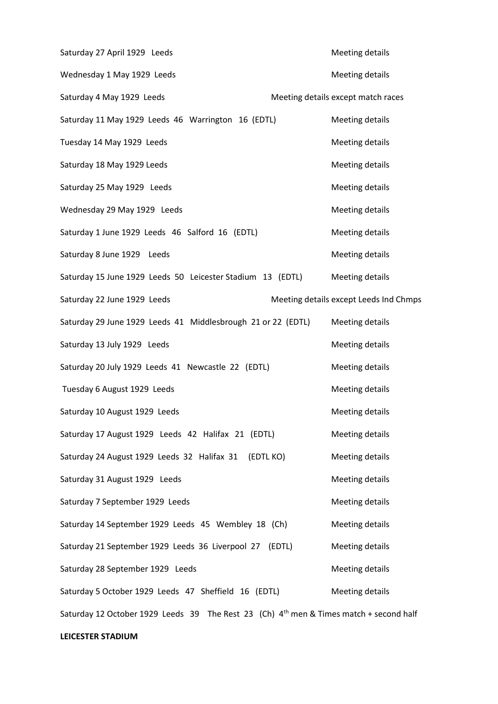Saturday 27 April 1929 Leeds Meeting details Wednesday 1 May 1929 Leeds Meeting details Saturday 4 May 1929 Leeds Meeting details except match races Saturday 11 May 1929 Leeds 46 Warrington 16 (EDTL) Meeting details Tuesday 14 May 1929 Leeds Meeting details Saturday 18 May 1929 Leeds Meeting details Saturday 25 May 1929 Leeds Meeting details Wednesday 29 May 1929 Leeds Meeting details Saturday 1 June 1929 Leeds 46 Salford 16 (EDTL) Meeting details Saturday 8 June 1929 Leeds **Meeting details** Saturday 15 June 1929 Leeds 50 Leicester Stadium 13 (EDTL) Meeting details Saturday 22 June 1929 Leeds **Meeting details except Leeds Ind Chmps** Saturday 29 June 1929 Leeds 41 Middlesbrough 21 or 22 (EDTL) Meeting details Saturday 13 July 1929 Leeds **Meeting details** Meeting details Saturday 20 July 1929 Leeds 41 Newcastle 22 (EDTL) Meeting details Tuesday 6 August 1929 Leeds Meeting details Saturday 10 August 1929 Leeds Meeting details Saturday 17 August 1929 Leeds 42 Halifax 21 (EDTL) Meeting details Saturday 24 August 1929 Leeds 32 Halifax 31 (EDTL KO) Meeting details Saturday 31 August 1929 Leeds Meeting details Saturday 7 September 1929 Leeds Meeting details Saturday 14 September 1929 Leeds 45 Wembley 18 (Ch) Meeting details Saturday 21 September 1929 Leeds 36 Liverpool 27 (EDTL) Meeting details Saturday 28 September 1929 Leeds Meeting details Saturday 5 October 1929 Leeds 47 Sheffield 16 (EDTL) Meeting details Saturday 12 October 1929 Leeds 39 The Rest 23 (Ch)  $4<sup>th</sup>$  men & Times match + second half

## **LEICESTER STADIUM**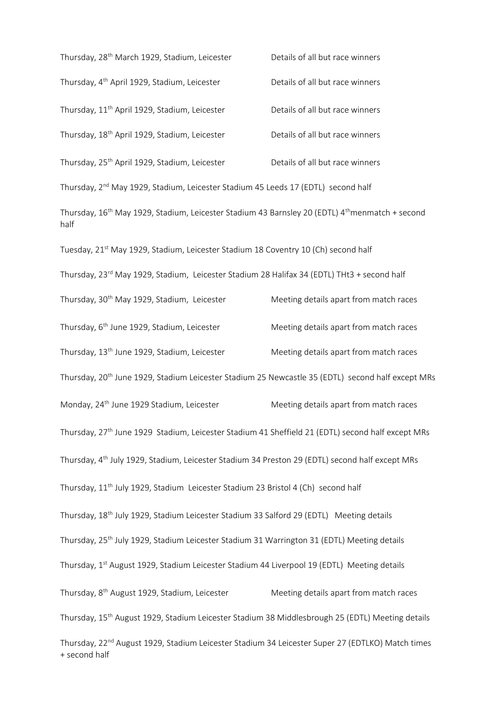| Thursday, 28 <sup>th</sup> March 1929, Stadium, Leicester                                                                       | Details of all but race winners        |
|---------------------------------------------------------------------------------------------------------------------------------|----------------------------------------|
| Thursday, 4 <sup>th</sup> April 1929, Stadium, Leicester                                                                        | Details of all but race winners        |
| Thursday, 11 <sup>th</sup> April 1929, Stadium, Leicester                                                                       | Details of all but race winners        |
| Thursday, 18 <sup>th</sup> April 1929, Stadium, Leicester                                                                       | Details of all but race winners        |
| Thursday, 25 <sup>th</sup> April 1929, Stadium, Leicester                                                                       | Details of all but race winners        |
| Thursday, 2 <sup>nd</sup> May 1929, Stadium, Leicester Stadium 45 Leeds 17 (EDTL) second half                                   |                                        |
| Thursday, 16 <sup>th</sup> May 1929, Stadium, Leicester Stadium 43 Barnsley 20 (EDTL) 4 <sup>th</sup> menmatch + second<br>half |                                        |
| Tuesday, 21st May 1929, Stadium, Leicester Stadium 18 Coventry 10 (Ch) second half                                              |                                        |
| Thursday, 23 <sup>rd</sup> May 1929, Stadium, Leicester Stadium 28 Halifax 34 (EDTL) THt3 + second half                         |                                        |
| Thursday, 30 <sup>th</sup> May 1929, Stadium, Leicester                                                                         | Meeting details apart from match races |
| Thursday, 6 <sup>th</sup> June 1929, Stadium, Leicester                                                                         | Meeting details apart from match races |
| Thursday, 13 <sup>th</sup> June 1929, Stadium, Leicester                                                                        | Meeting details apart from match races |
| Thursday, 20 <sup>th</sup> June 1929, Stadium Leicester Stadium 25 Newcastle 35 (EDTL) second half except MRs                   |                                        |
| Monday, 24 <sup>th</sup> June 1929 Stadium, Leicester                                                                           | Meeting details apart from match races |
| Thursday, 27 <sup>th</sup> June 1929 Stadium, Leicester Stadium 41 Sheffield 21 (EDTL) second half except MRs                   |                                        |
| Thursday, 4 <sup>th</sup> July 1929, Stadium, Leicester Stadium 34 Preston 29 (EDTL) second half except MRs                     |                                        |
| Thursday, 11 <sup>th</sup> July 1929, Stadium Leicester Stadium 23 Bristol 4 (Ch) second half                                   |                                        |
| Thursday, 18 <sup>th</sup> July 1929, Stadium Leicester Stadium 33 Salford 29 (EDTL) Meeting details                            |                                        |
| Thursday, 25 <sup>th</sup> July 1929, Stadium Leicester Stadium 31 Warrington 31 (EDTL) Meeting details                         |                                        |
| Thursday, 1st August 1929, Stadium Leicester Stadium 44 Liverpool 19 (EDTL) Meeting details                                     |                                        |
| Thursday, 8 <sup>th</sup> August 1929, Stadium, Leicester                                                                       | Meeting details apart from match races |
| Thursday, 15 <sup>th</sup> August 1929, Stadium Leicester Stadium 38 Middlesbrough 25 (EDTL) Meeting details                    |                                        |
| Thursday, 22 <sup>nd</sup> August 1929, Stadium Leicester Stadium 34 Leicester Super 27 (EDTLKO) Match times<br>+ second half   |                                        |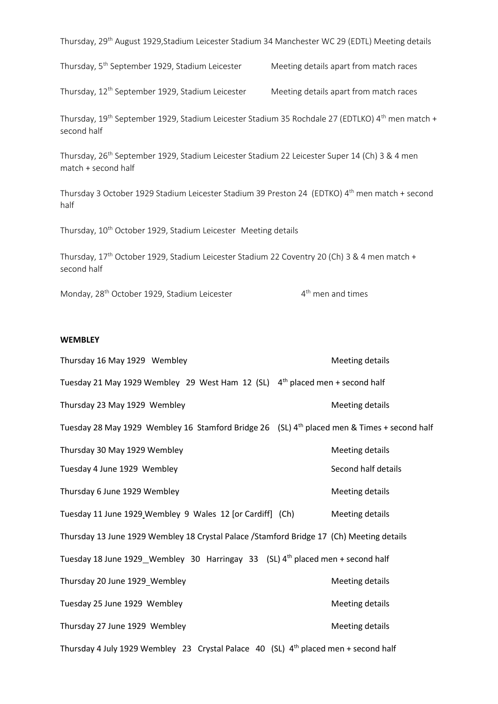| Thursday, 29 <sup>th</sup> August 1929, Stadium Leicester Stadium 34 Manchester WC 29 (EDTL) Meeting details                            |                                        |  |  |
|-----------------------------------------------------------------------------------------------------------------------------------------|----------------------------------------|--|--|
| Thursday, 5 <sup>th</sup> September 1929, Stadium Leicester                                                                             | Meeting details apart from match races |  |  |
| Thursday, 12 <sup>th</sup> September 1929, Stadium Leicester                                                                            | Meeting details apart from match races |  |  |
| Thursday, 19 <sup>th</sup> September 1929, Stadium Leicester Stadium 35 Rochdale 27 (EDTLKO) 4 <sup>th</sup> men match +<br>second half |                                        |  |  |
| Thursday, 26 <sup>th</sup> September 1929, Stadium Leicester Stadium 22 Leicester Super 14 (Ch) 3 & 4 men<br>match + second half        |                                        |  |  |
| Thursday 3 October 1929 Stadium Leicester Stadium 39 Preston 24 (EDTKO) 4th men match + second<br>half                                  |                                        |  |  |
| Thursday, 10 <sup>th</sup> October 1929, Stadium Leicester Meeting details                                                              |                                        |  |  |
| Thursday, 17 <sup>th</sup> October 1929, Stadium Leicester Stadium 22 Coventry 20 (Ch) 3 & 4 men match +<br>second half                 |                                        |  |  |
| Monday, 28 <sup>th</sup> October 1929, Stadium Leicester                                                                                | 4 <sup>th</sup> men and times          |  |  |

## **WEMBLEY**

| Thursday 16 May 1929 Wembley                                                                            | Meeting details        |
|---------------------------------------------------------------------------------------------------------|------------------------|
| Tuesday 21 May 1929 Wembley 29 West Ham 12 (SL) $4th$ placed men + second half                          |                        |
| Thursday 23 May 1929 Wembley                                                                            | Meeting details        |
| Tuesday 28 May 1929 Wembley 16 Stamford Bridge 26 (SL) 4 <sup>th</sup> placed men & Times + second half |                        |
| Thursday 30 May 1929 Wembley                                                                            | <b>Meeting details</b> |
| Tuesday 4 June 1929 Wembley                                                                             | Second half details    |
| Thursday 6 June 1929 Wembley                                                                            | Meeting details        |
| Tuesday 11 June 1929 Wembley 9 Wales 12 [or Cardiff] (Ch)                                               | <b>Meeting details</b> |
| Thursday 13 June 1929 Wembley 18 Crystal Palace /Stamford Bridge 17 (Ch) Meeting details                |                        |
| Tuesday 18 June 1929_Wembley 30 Harringay 33 (SL) 4th placed men + second half                          |                        |
| Thursday 20 June 1929_Wembley                                                                           | Meeting details        |
| Tuesday 25 June 1929 Wembley                                                                            | Meeting details        |
| Thursday 27 June 1929 Wembley                                                                           | Meeting details        |
| Thursday 4 July 1929 Wembley 23 Crystal Palace 40 (SL) 4 <sup>th</sup> placed men + second half         |                        |